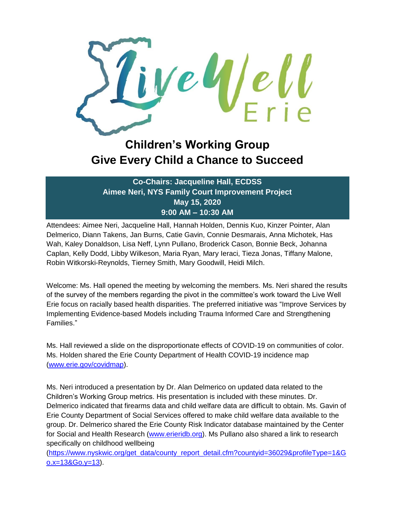

## **Children's Working Group Give Every Child a Chance to Succeed**

**Co-Chairs: Jacqueline Hall, ECDSS Aimee Neri, NYS Family Court Improvement Project May 15, 2020 9:00 AM – 10:30 AM**

Attendees: Aimee Neri, Jacqueline Hall, Hannah Holden, Dennis Kuo, Kinzer Pointer, Alan Delmerico, Diann Takens, Jan Burns, Catie Gavin, Connie Desmarais, Anna Michotek, Has Wah, Kaley Donaldson, Lisa Neff, Lynn Pullano, Broderick Cason, Bonnie Beck, Johanna Caplan, Kelly Dodd, Libby Wilkeson, Maria Ryan, Mary Ieraci, Tieza Jonas, Tiffany Malone, Robin Witkorski-Reynolds, Tierney Smith, Mary Goodwill, Heidi Milch.

Welcome: Ms. Hall opened the meeting by welcoming the members. Ms. Neri shared the results of the survey of the members regarding the pivot in the committee's work toward the Live Well Erie focus on racially based health disparities. The preferred initiative was "Improve Services by Implementing Evidence-based Models including Trauma Informed Care and Strengthening Families."

Ms. Hall reviewed a slide on the disproportionate effects of COVID-19 on communities of color. Ms. Holden shared the Erie County Department of Health COVID-19 incidence map [\(www.erie.gov/covidmap\)](http://www.erie.gov/covidmap).

Ms. Neri introduced a presentation by Dr. Alan Delmerico on updated data related to the Children's Working Group metrics. His presentation is included with these minutes. Dr. Delmerico indicated that firearms data and child welfare data are difficult to obtain. Ms. Gavin of Erie County Department of Social Services offered to make child welfare data available to the group. Dr. Delmerico shared the Erie County Risk Indicator database maintained by the Center for Social and Health Research [\(www.erieridb.org\)](http://www.erieridb.org/). Ms Pullano also shared a link to research specifically on childhood wellbeing

[\(https://www.nyskwic.org/get\\_data/county\\_report\\_detail.cfm?countyid=36029&profileType=1&G](https://www.nyskwic.org/get_data/county_report_detail.cfm?countyid=36029&profileType=1&Go.x=13&Go.y=13) [o.x=13&Go.y=13\)](https://www.nyskwic.org/get_data/county_report_detail.cfm?countyid=36029&profileType=1&Go.x=13&Go.y=13).